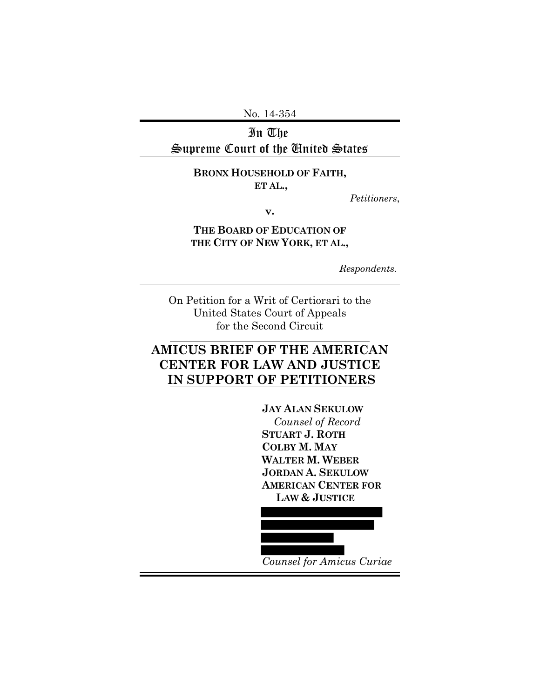No. 14-354

In The Supreme Court of the United States

# **BRONX HOUSEHOLD OF FAITH,**

 **ET AL.,**

*Petitioners*,

**v.**

**THE BOARD OF EDUCATION OF THE CITY OF NEW YORK, ET AL.,**

*Respondents.*

On Petition for a Writ of Certiorari to the United States Court of Appeals for the Second Circuit

# **AMICUS BRIEF OF THE AMERICAN CENTER FOR LAW AND JUSTICE IN SUPPORT OF PETITIONERS**

**JAY ALAN SEKULOW** *Counsel of Record* **STUART J. ROTH COLBY M. MAY WALTER M. WEBER JORDAN A. SEKULOW AMERICAN CENTER FOR LAW & JUSTICE**



*Counsel for Amicus Curiae*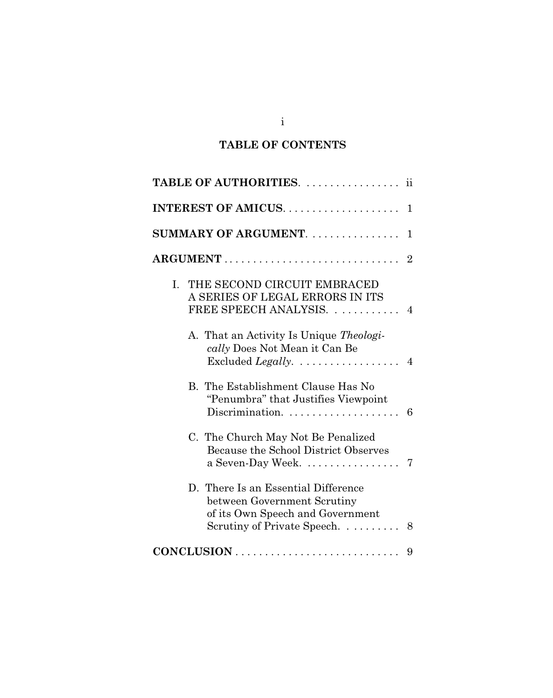## **TABLE OF CONTENTS**

| <b>TABLE OF AUTHORITIES.</b><br>11                                                                                                         |  |  |  |  |  |  |  |  |  |  |  |  |  |
|--------------------------------------------------------------------------------------------------------------------------------------------|--|--|--|--|--|--|--|--|--|--|--|--|--|
| $\mathbf{1}$                                                                                                                               |  |  |  |  |  |  |  |  |  |  |  |  |  |
| SUMMARY OF ARGUMENT.<br>1                                                                                                                  |  |  |  |  |  |  |  |  |  |  |  |  |  |
| $\overline{2}$                                                                                                                             |  |  |  |  |  |  |  |  |  |  |  |  |  |
| THE SECOND CIRCUIT EMBRACED<br>L.<br>A SERIES OF LEGAL ERRORS IN ITS<br>FREE SPEECH ANALYSIS. 4                                            |  |  |  |  |  |  |  |  |  |  |  |  |  |
| A. That an Activity Is Unique Theologi-<br>cally Does Not Mean it Can Be<br>Excluded Legally. $\dots \dots \dots \dots \dots$ 4            |  |  |  |  |  |  |  |  |  |  |  |  |  |
| B. The Establishment Clause Has No<br>"Penumbra" that Justifies Viewpoint<br>Discrimination.<br>6                                          |  |  |  |  |  |  |  |  |  |  |  |  |  |
| C. The Church May Not Be Penalized<br>Because the School District Observes<br>a Seven-Day Week<br>7                                        |  |  |  |  |  |  |  |  |  |  |  |  |  |
| D. There Is an Essential Difference<br>between Government Scrutiny<br>of its Own Speech and Government<br>Scrutiny of Private Speech.<br>8 |  |  |  |  |  |  |  |  |  |  |  |  |  |
| 9                                                                                                                                          |  |  |  |  |  |  |  |  |  |  |  |  |  |

i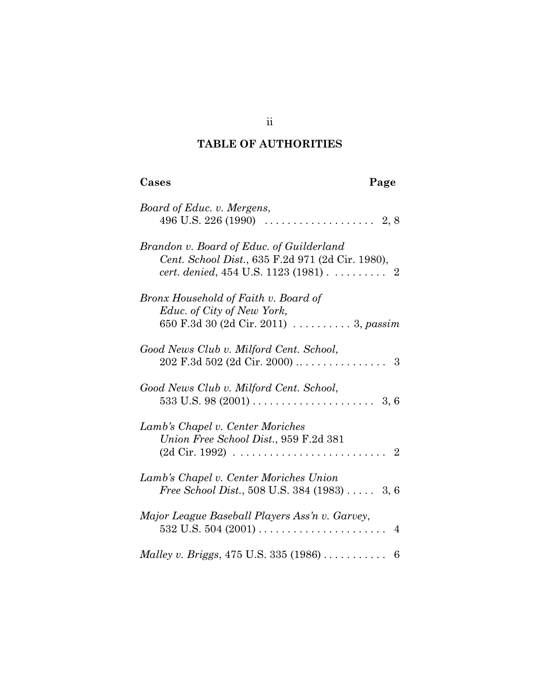# **TABLE OF AUTHORITIES**

| Cases                                                                                                                                            | Page |                |
|--------------------------------------------------------------------------------------------------------------------------------------------------|------|----------------|
| Board of Educ. v. Mergens,                                                                                                                       |      |                |
| Brandon v. Board of Educ. of Guilderland<br>Cent. School Dist., 635 F.2d 971 (2d Cir. 1980),<br><i>cert. denied</i> , $454$ U.S. $1123$ $(1981)$ |      | $\overline{2}$ |
| Bronx Household of Faith v. Board of<br>Educ. of City of New York,<br>650 F.3d 30 (2d Cir. 2011) 3, passim                                       |      |                |
| Good News Club v. Milford Cent. School,                                                                                                          |      |                |
| Good News Club v. Milford Cent. School,                                                                                                          |      |                |
| Lamb's Chapel v. Center Moriches<br>Union Free School Dist., 959 F.2d 381                                                                        |      | $\overline{2}$ |
| Lamb's Chapel v. Center Moriches Union<br><i>Free School Dist.</i> , 508 U.S. 384 $(1983)$ 3, 6                                                  |      |                |
| Major League Baseball Players Ass'n v. Garvey,                                                                                                   |      | $\overline{4}$ |
|                                                                                                                                                  |      |                |

ii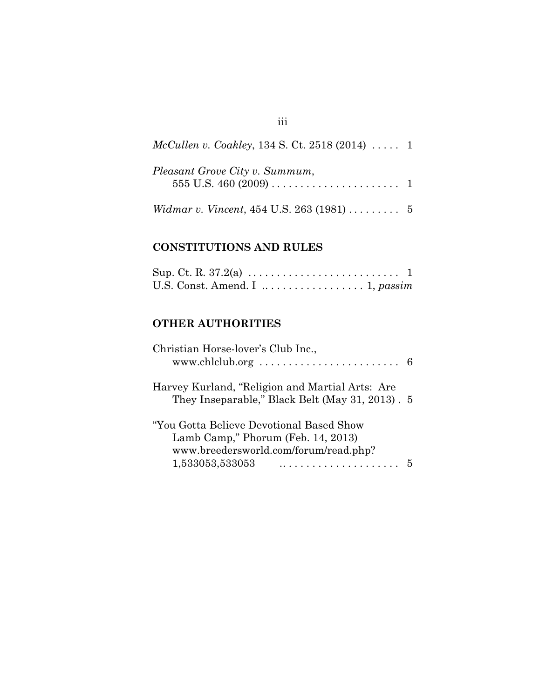| <i>McCullen v. Coakley, 134 S. Ct. 2518 (2014) </i> 1 |  |
|-------------------------------------------------------|--|
| Pleasant Grove City v. Summum,                        |  |
| <i>Widmar v. Vincent</i> , 454 U.S. 263 $(1981)$ 5    |  |

## **CONSTITUTIONS AND RULES**

|  | U.S. Const. Amend. I $\dots \dots \dots \dots \dots \dots$ 1, passim |  |  |  |  |  |  |  |  |  |  |
|--|----------------------------------------------------------------------|--|--|--|--|--|--|--|--|--|--|

## **OTHER AUTHORITIES**

| Christian Horse-lover's Club Inc.,                                                                                                          |  |
|---------------------------------------------------------------------------------------------------------------------------------------------|--|
| Harvey Kurland, "Religion and Martial Arts: Are<br>They Inseparable," Black Belt (May 31, 2013). 5                                          |  |
| "You Gotta Believe Devotional Based Show"<br>Lamb Camp," Phorum (Feb. 14, 2013)<br>www.breedersworld.com/forum/read.php?<br>1,533053,533053 |  |

## iii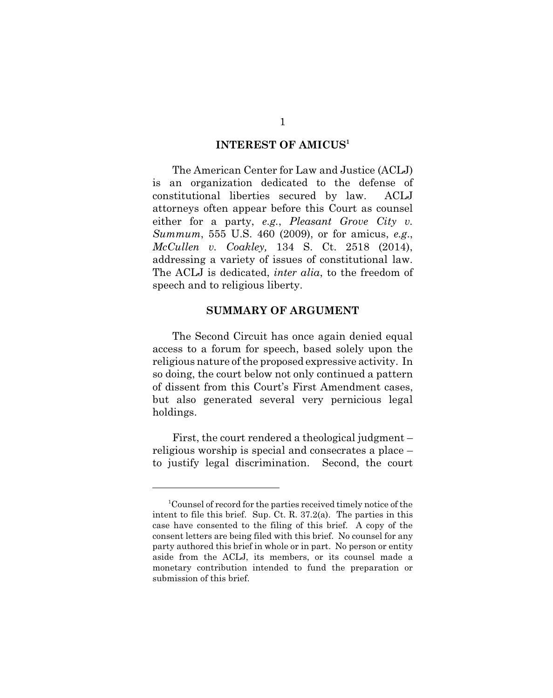#### **INTEREST OF AMICUS1**

The American Center for Law and Justice (ACLJ) is an organization dedicated to the defense of constitutional liberties secured by law. ACLJ attorneys often appear before this Court as counsel either for a party, *e.g.*, *Pleasant Grove City v. Summum*, 555 U.S. 460 (2009), or for amicus, *e.g*., *McCullen v. Coakley,* 134 S. Ct. 2518 (2014), addressing a variety of issues of constitutional law. The ACLJ is dedicated, *inter alia*, to the freedom of speech and to religious liberty.

#### **SUMMARY OF ARGUMENT**

The Second Circuit has once again denied equal access to a forum for speech, based solely upon the religious nature of the proposed expressive activity. In so doing, the court below not only continued a pattern of dissent from this Court's First Amendment cases, but also generated several very pernicious legal holdings.

First, the court rendered a theological judgment – religious worship is special and consecrates a place – to justify legal discrimination. Second, the court

<sup>&</sup>lt;sup>1</sup> Counsel of record for the parties received timely notice of the intent to file this brief. Sup. Ct. R. 37.2(a). The parties in this case have consented to the filing of this brief. A copy of the consent letters are being filed with this brief. No counsel for any party authored this brief in whole or in part. No person or entity aside from the ACLJ, its members, or its counsel made a monetary contribution intended to fund the preparation or submission of this brief.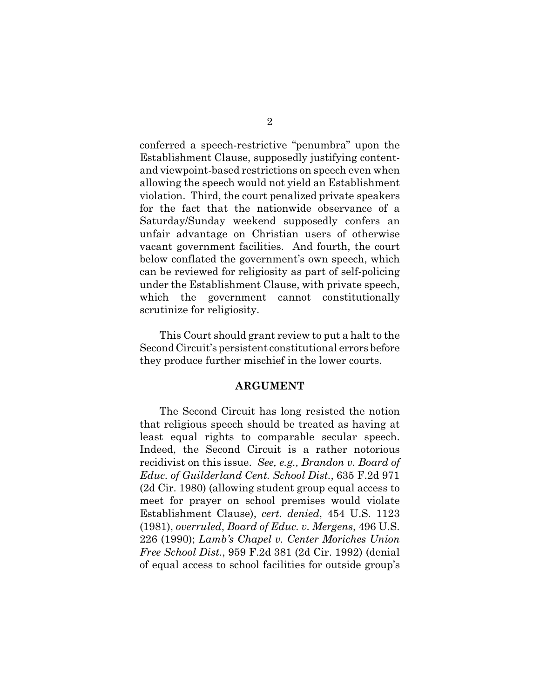conferred a speech-restrictive "penumbra" upon the Establishment Clause, supposedly justifying contentand viewpoint-based restrictions on speech even when allowing the speech would not yield an Establishment violation. Third, the court penalized private speakers for the fact that the nationwide observance of a Saturday/Sunday weekend supposedly confers an unfair advantage on Christian users of otherwise vacant government facilities. And fourth, the court below conflated the government's own speech, which can be reviewed for religiosity as part of self-policing under the Establishment Clause, with private speech, which the government cannot constitutionally scrutinize for religiosity.

This Court should grant review to put a halt to the Second Circuit's persistent constitutional errors before they produce further mischief in the lower courts.

#### **ARGUMENT**

The Second Circuit has long resisted the notion that religious speech should be treated as having at least equal rights to comparable secular speech. Indeed, the Second Circuit is a rather notorious recidivist on this issue. *See, e.g., Brandon v. Board of Educ. of Guilderland Cent. School Dist.*, 635 F.2d 971 (2d Cir. 1980) (allowing student group equal access to meet for prayer on school premises would violate Establishment Clause), *cert. denied*, 454 U.S. 1123 (1981), *overruled*, *Board of Educ. v. Mergens*, 496 U.S. 226 (1990); *Lamb's Chapel v. Center Moriches Union Free School Dist.*, 959 F.2d 381 (2d Cir. 1992) (denial of equal access to school facilities for outside group's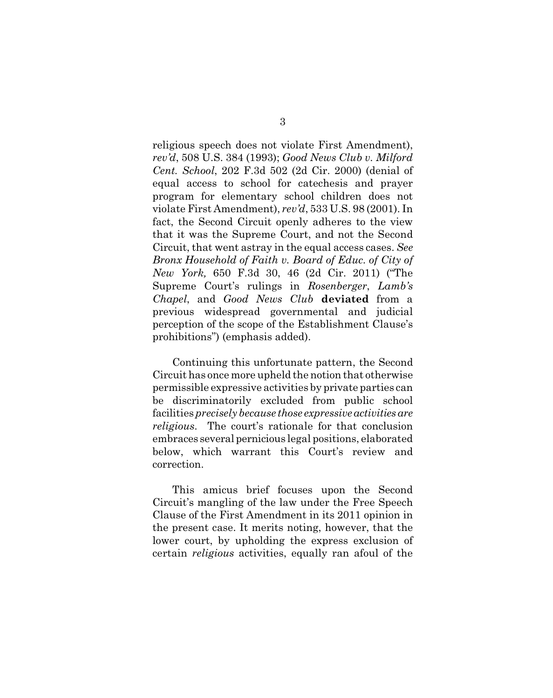religious speech does not violate First Amendment), *rev'd*, 508 U.S. 384 (1993); *Good News Club v. Milford Cent. School*, 202 F.3d 502 (2d Cir. 2000) (denial of equal access to school for catechesis and prayer program for elementary school children does not violate First Amendment), *rev'd*, 533 U.S. 98 (2001). In fact, the Second Circuit openly adheres to the view that it was the Supreme Court, and not the Second Circuit, that went astray in the equal access cases. *See Bronx Household of Faith v. Board of Educ. of City of New York,* 650 F.3d 30, 46 (2d Cir. 2011) ("The Supreme Court's rulings in *Rosenberger*, *Lamb's Chapel*, and *Good News Club* **deviated** from a previous widespread governmental and judicial perception of the scope of the Establishment Clause's prohibitions") (emphasis added).

Continuing this unfortunate pattern, the Second Circuit has once more upheld the notion that otherwise permissible expressive activities by private parties can be discriminatorily excluded from public school facilities *precisely because those expressive activities are religious*. The court's rationale for that conclusion embraces several pernicious legal positions, elaborated below, which warrant this Court's review and correction.

This amicus brief focuses upon the Second Circuit's mangling of the law under the Free Speech Clause of the First Amendment in its 2011 opinion in the present case. It merits noting, however, that the lower court, by upholding the express exclusion of certain *religious* activities, equally ran afoul of the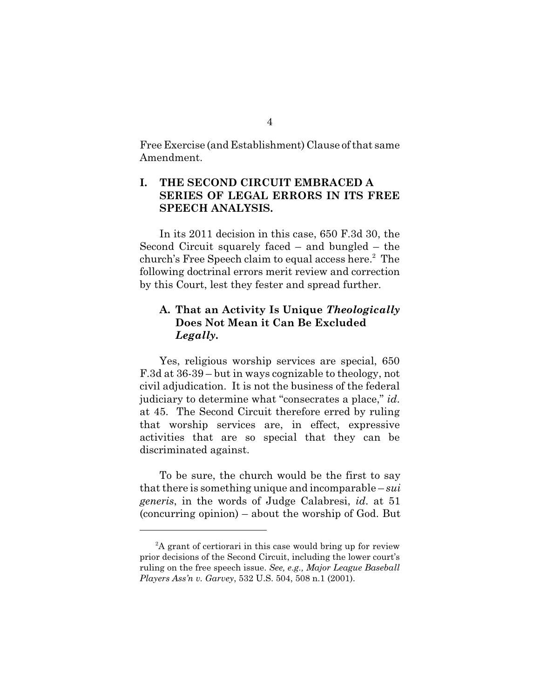Free Exercise (and Establishment) Clause of that same Amendment.

## **I. THE SECOND CIRCUIT EMBRACED A SERIES OF LEGAL ERRORS IN ITS FREE SPEECH ANALYSIS.**

In its 2011 decision in this case, 650 F.3d 30, the Second Circuit squarely faced – and bungled – the church's Free Speech claim to equal access here.<sup>2</sup> The following doctrinal errors merit review and correction by this Court, lest they fester and spread further.

### **A. That an Activity Is Unique** *Theologically* **Does Not Mean it Can Be Excluded**  *Legally***.**

Yes, religious worship services are special, 650 F.3d at 36-39 – but in ways cognizable to theology, not civil adjudication. It is not the business of the federal judiciary to determine what "consecrates a place," *id*. at 45. The Second Circuit therefore erred by ruling that worship services are, in effect, expressive activities that are so special that they can be discriminated against.

To be sure, the church would be the first to say that there is something unique and incomparable – *sui generis*, in the words of Judge Calabresi, *id*. at 51 (concurring opinion) – about the worship of God. But

 $A$  grant of certiorari in this case would bring up for review prior decisions of the Second Circuit, including the lower court's ruling on the free speech issue. *See, e.g., Major League Baseball Players Ass'n v. Garvey*, 532 U.S. 504, 508 n.1 (2001).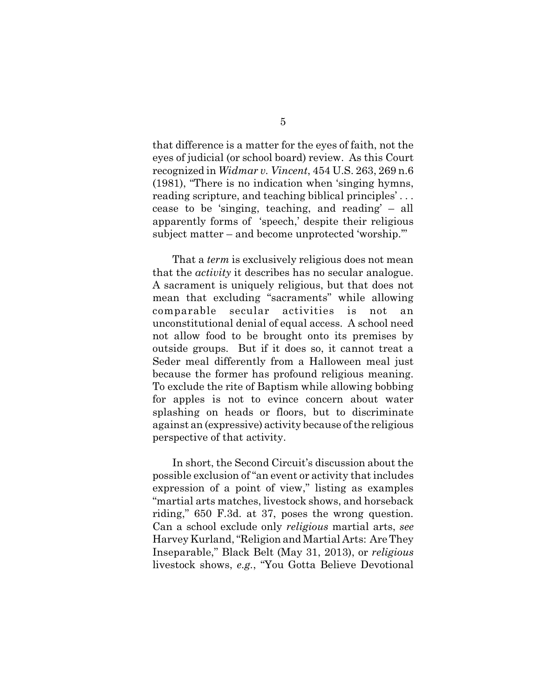that difference is a matter for the eyes of faith, not the eyes of judicial (or school board) review. As this Court recognized in *Widmar v. Vincent*, 454 U.S. 263, 269 n.6 (1981), "There is no indication when 'singing hymns, reading scripture, and teaching biblical principles' . . . cease to be 'singing, teaching, and reading' – all apparently forms of 'speech,' despite their religious subject matter – and become unprotected 'worship.'"

That a *term* is exclusively religious does not mean that the *activity* it describes has no secular analogue. A sacrament is uniquely religious, but that does not mean that excluding "sacraments" while allowing comparable secular activities is not an unconstitutional denial of equal access. A school need not allow food to be brought onto its premises by outside groups. But if it does so, it cannot treat a Seder meal differently from a Halloween meal just because the former has profound religious meaning. To exclude the rite of Baptism while allowing bobbing for apples is not to evince concern about water splashing on heads or floors, but to discriminate against an (expressive) activity because of the religious perspective of that activity.

In short, the Second Circuit's discussion about the possible exclusion of "an event or activity that includes expression of a point of view," listing as examples "martial arts matches, livestock shows, and horseback riding," 650 F.3d. at 37, poses the wrong question. Can a school exclude only *religious* martial arts, *see* Harvey Kurland, "Religion and Martial Arts: Are They Inseparable," Black Belt (May 31, 2013), or *religious* livestock shows, *e.g.*, "You Gotta Believe Devotional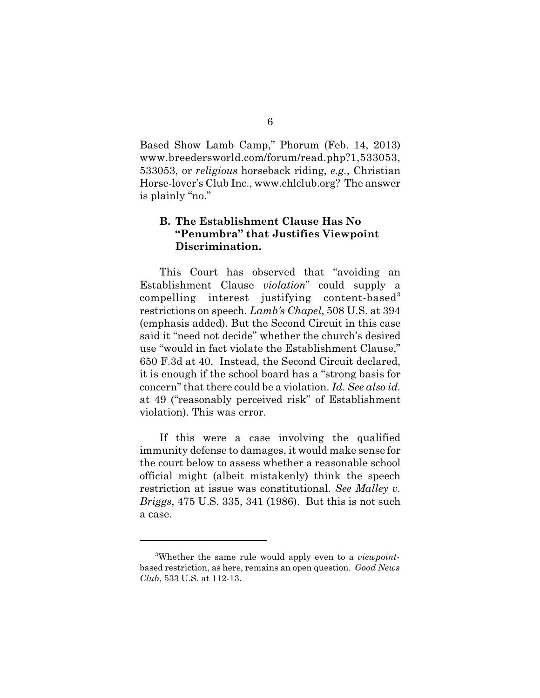Based Show Lamb Camp," Phorum (Feb. 14, 2013) www.breedersworld.com/forum/read.php?1,533053, 533053, or *religious* horseback riding, *e.g.*, Christian Horse-lover's Club Inc., www.chlclub.org? The answer is plainly "no."

## **B. The Establishment Clause Has No "Penumbra" that Justifies Viewpoint Discrimination.**

This Court has observed that "avoiding an Establishment Clause *violation*" could supply a compelling interest justifying content-based3 restrictions on speech. *Lamb's Chapel*, 508 U.S. at 394 (emphasis added). But the Second Circuit in this case said it "need not decide" whether the church's desired use "would in fact violate the Establishment Clause," 650 F.3d at 40. Instead, the Second Circuit declared, it is enough if the school board has a "strong basis for concern" that there could be a violation. *Id*. *See also id.* at 49 ("reasonably perceived risk" of Establishment violation). This was error.

If this were a case involving the qualified immunity defense to damages, it would make sense for the court below to assess whether a reasonable school official might (albeit mistakenly) think the speech restriction at issue was constitutional. *See Malley v. Briggs*, 475 U.S. 335, 341 (1986). But this is not such a case.

<sup>&</sup>lt;sup>3</sup>Whether the same rule would apply even to a *viewpoint*based restriction, as here, remains an open question. *Good News Club*, 533 U.S. at 112-13.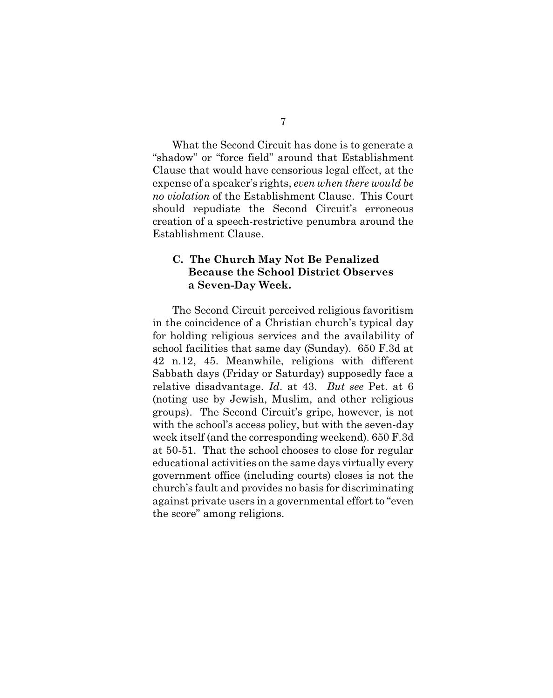What the Second Circuit has done is to generate a "shadow" or "force field" around that Establishment Clause that would have censorious legal effect, at the expense of a speaker's rights, *even when there would be no violation* of the Establishment Clause. This Court should repudiate the Second Circuit's erroneous creation of a speech-restrictive penumbra around the Establishment Clause.

### **C. The Church May Not Be Penalized Because the School District Observes a Seven-Day Week.**

The Second Circuit perceived religious favoritism in the coincidence of a Christian church's typical day for holding religious services and the availability of school facilities that same day (Sunday). 650 F.3d at 42 n.12, 45. Meanwhile, religions with different Sabbath days (Friday or Saturday) supposedly face a relative disadvantage. *Id*. at 43. *But see* Pet. at 6 (noting use by Jewish, Muslim, and other religious groups). The Second Circuit's gripe, however, is not with the school's access policy, but with the seven-day week itself (and the corresponding weekend). 650 F.3d at 50-51. That the school chooses to close for regular educational activities on the same days virtually every government office (including courts) closes is not the church's fault and provides no basis for discriminating against private users in a governmental effort to "even the score" among religions.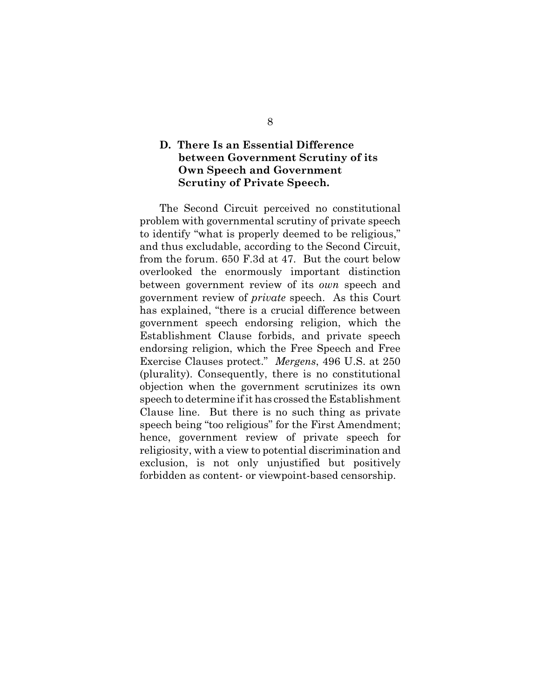### **D. There Is an Essential Difference between Government Scrutiny of its Own Speech and Government Scrutiny of Private Speech.**

The Second Circuit perceived no constitutional problem with governmental scrutiny of private speech to identify "what is properly deemed to be religious," and thus excludable, according to the Second Circuit, from the forum. 650 F.3d at 47. But the court below overlooked the enormously important distinction between government review of its *own* speech and government review of *private* speech. As this Court has explained, "there is a crucial difference between government speech endorsing religion, which the Establishment Clause forbids, and private speech endorsing religion, which the Free Speech and Free Exercise Clauses protect." *Mergens*, 496 U.S. at 250 (plurality). Consequently, there is no constitutional objection when the government scrutinizes its own speech to determine if it has crossed the Establishment Clause line. But there is no such thing as private speech being "too religious" for the First Amendment; hence, government review of private speech for religiosity, with a view to potential discrimination and exclusion, is not only unjustified but positively forbidden as content- or viewpoint-based censorship.